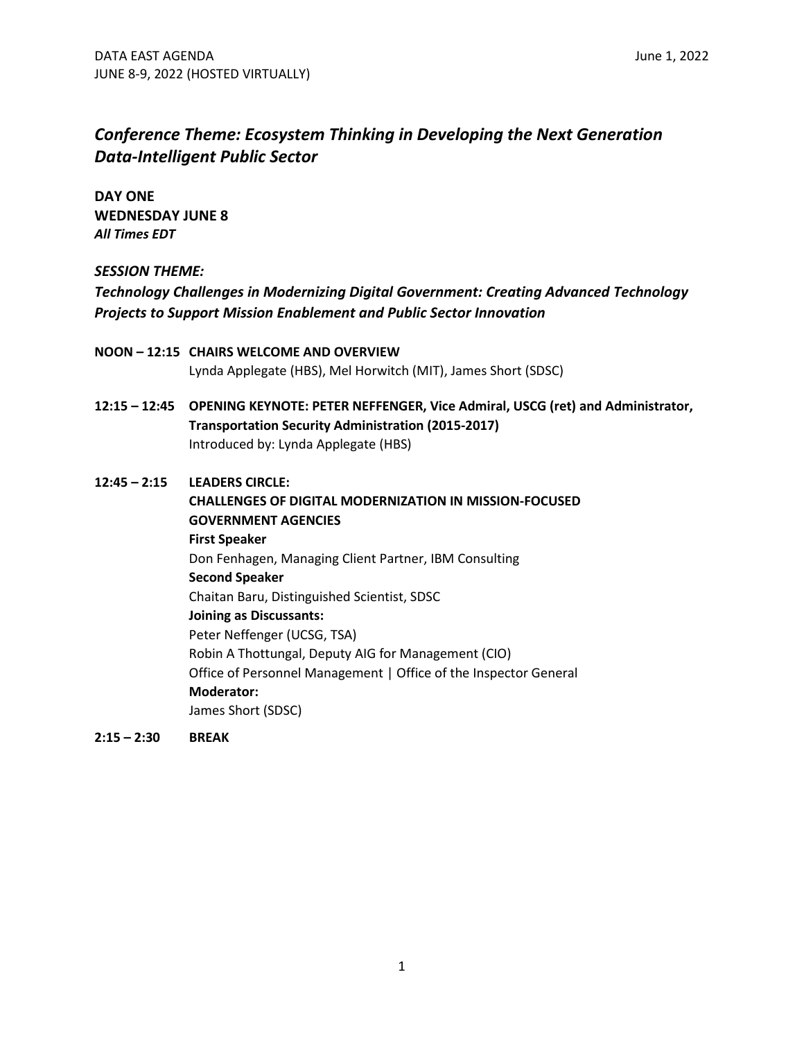# *Conference Theme: Ecosystem Thinking in Developing the Next Generation Data-Intelligent Public Sector*

**DAY ONE WEDNESDAY JUNE 8** *All Times EDT*

#### *SESSION THEME:*

*Technology Challenges in Modernizing Digital Government: Creating Advanced Technology Projects to Support Mission Enablement and Public Sector Innovation*

**NOON – 12:15 CHAIRS WELCOME AND OVERVIEW** Lynda Applegate (HBS), Mel Horwitch (MIT), James Short (SDSC)

**12:15 – 12:45 OPENING KEYNOTE: PETER NEFFENGER, Vice Admiral, USCG (ret) and Administrator, Transportation Security Administration (2015-2017)** Introduced by: Lynda Applegate (HBS)

### **12:45 – 2:15 LEADERS CIRCLE:**

**CHALLENGES OF DIGITAL MODERNIZATION IN MISSION-FOCUSED GOVERNMENT AGENCIES First Speaker** Don Fenhagen, Managing Client Partner, IBM Consulting **Second Speaker** Chaitan Baru, Distinguished Scientist, SDSC **Joining as Discussants:** Peter Neffenger (UCSG, TSA) Robin A Thottungal, Deputy AIG for Management (CIO) Office of Personnel Management | Office of the Inspector General **Moderator:**  James Short (SDSC)

**2:15 – 2:30 BREAK**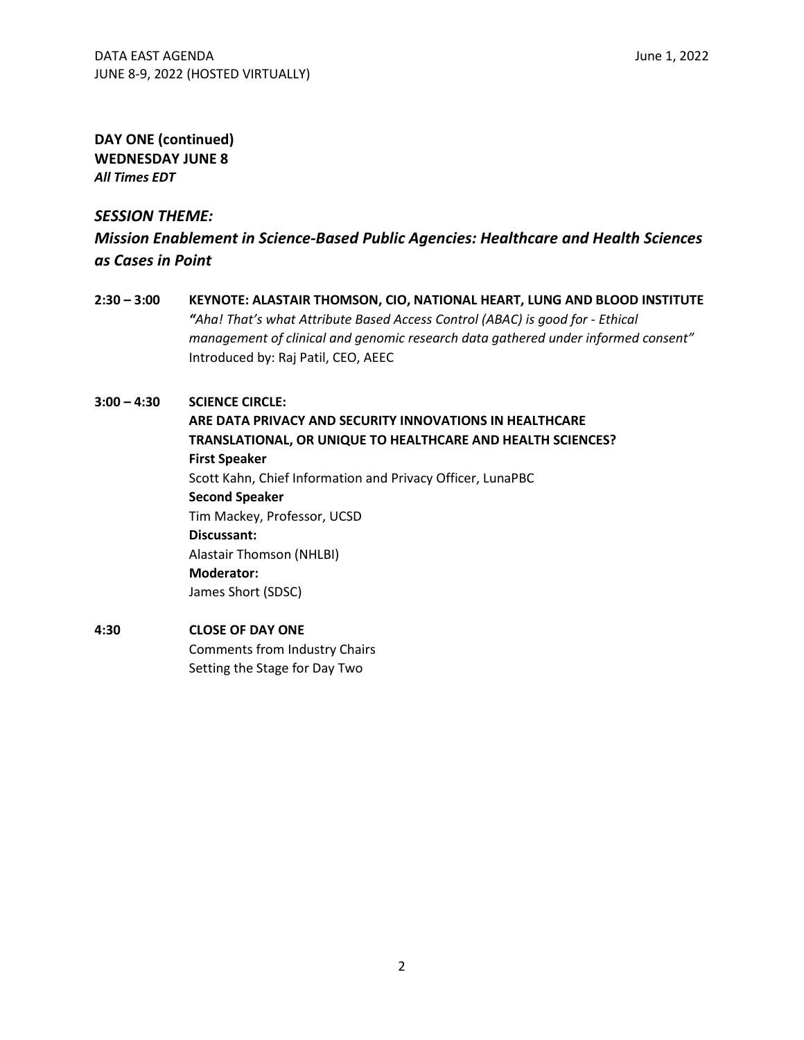# **DAY ONE (continued) WEDNESDAY JUNE 8** *All Times EDT*

### *SESSION THEME:*

*Mission Enablement in Science-Based Public Agencies: Healthcare and Health Sciences as Cases in Point*

**2:30 – 3:00 KEYNOTE: ALASTAIR THOMSON, CIO, NATIONAL HEART, LUNG AND BLOOD INSTITUTE** *"Aha! That's what Attribute Based Access Control (ABAC) is good for - Ethical management of clinical and genomic research data gathered under informed consent"* Introduced by: Raj Patil, CEO, AEEC

# **3:00 – 4:30 SCIENCE CIRCLE: ARE DATA PRIVACY AND SECURITY INNOVATIONS IN HEALTHCARE TRANSLATIONAL, OR UNIQUE TO HEALTHCARE AND HEALTH SCIENCES? First Speaker** Scott Kahn, Chief Information and Privacy Officer, LunaPBC **Second Speaker** Tim Mackey, Professor, UCSD **Discussant:** Alastair Thomson (NHLBI) **Moderator:**  James Short (SDSC)

### **4:30 CLOSE OF DAY ONE** Comments from Industry Chairs Setting the Stage for Day Two